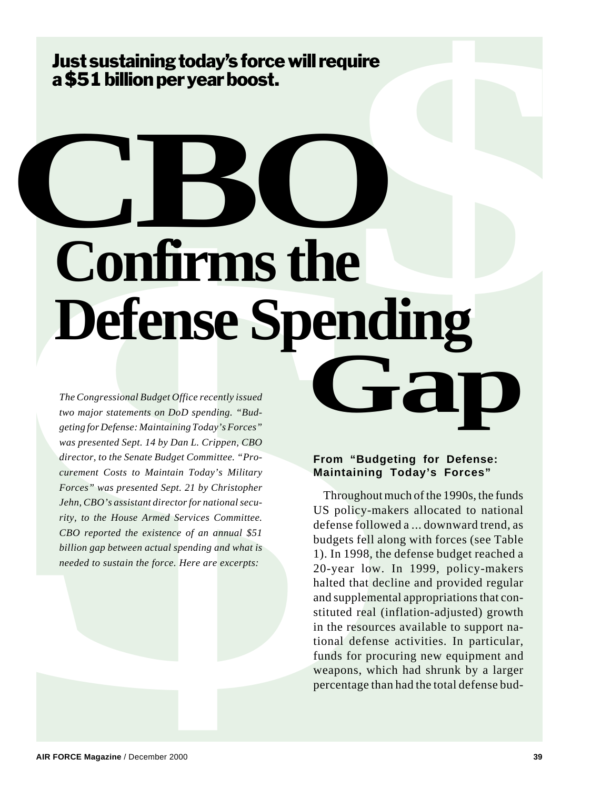# a \$51 billion per year boost.

# **EXECUTE SE SPERIE SE SPERIE SE SPERIE SE SPERIE SE SPERIE SE SPERIE SE SPERIE SE SPERIE SE SPERIE SE SPERIE SE SPERIE SE SPERIE SE SPERIE SE SPERIE SE SPERIE SE SPERIE SE SPERIE SE SPERIE SPERIE SE SPERIE SPERIE SPERIE SP Just sustaining today's force will require**<br>
a\$51 billion per year boost.<br> **Confirms the Defense Spending Confirms the Defense Spending Confirms** the **Gap**

*The Congressional Budget Office recently issued two major statements on DoD spending. "Budgeting for Defense: Maintaining Today's Forces" was presented Sept. 14 by Dan L. Crippen, CBO director, to the Senate Budget Committee. "Procurement Costs to Maintain Today's Military Forces" was presented Sept. 21 by Christopher Jehn, CBO's assistant director for national security, to the House Armed Services Committee. CBO reported the existence of an annual \$51 billion gap between actual spending and what is needed to sustain the force. Here are excerpts:*

### **From "Budgeting for Defense: Maintaining Today's Forces"**

Throughout much of the 1990s, the funds US policy-makers allocated to national defense followed a ... downward trend, as budgets fell along with forces (see Table 1). In 1998, the defense budget reached a 20-year low. In 1999, policy-makers halted that decline and provided regular and supplemental appropriations that constituted real (inflation-adjusted) growth in the resources available to support national defense activities. In particular, funds for procuring new equipment and weapons, which had shrunk by a larger percentage than had the total defense bud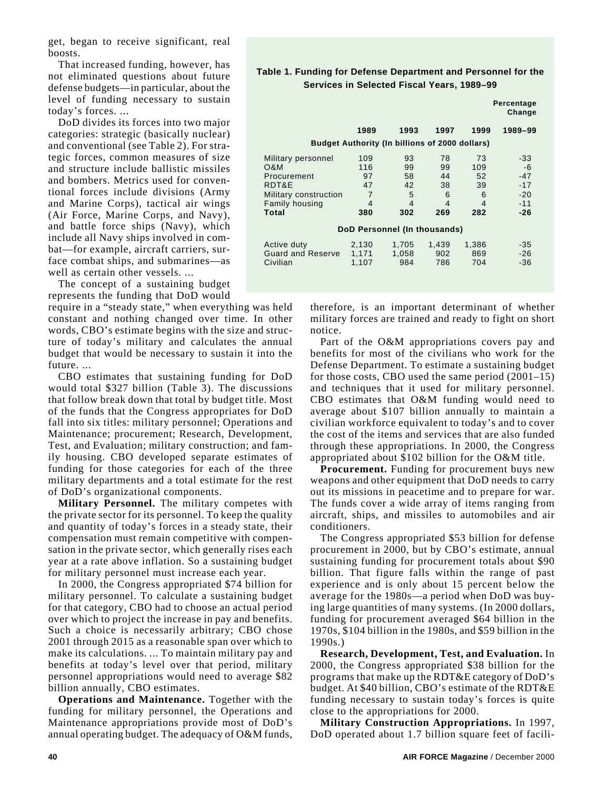get, began to receive significant, real boosts.

That increased funding, however, has not eliminated questions about future defense budgets—in particular, about the level of funding necessary to sustain today's forces. ...

DoD divides its forces into two major categories: strategic (basically nuclear) and conventional (see Table 2). For strategic forces, common measures of size and structure include ballistic missiles and bombers. Metrics used for conventional forces include divisions (Army and Marine Corps), tactical air wings (Air Force, Marine Corps, and Navy), and battle force ships (Navy), which include all Navy ships involved in combat—for example, aircraft carriers, surface combat ships, and submarines—as well as certain other vessels. ...

The concept of a sustaining budget represents the funding that DoD would

require in a "steady state," when everything was held constant and nothing changed over time. In other words, CBO's estimate begins with the size and structure of today's military and calculates the annual budget that would be necessary to sustain it into the future. ...

CBO estimates that sustaining funding for DoD would total \$327 billion (Table 3). The discussions that follow break down that total by budget title. Most of the funds that the Congress appropriates for DoD fall into six titles: military personnel; Operations and Maintenance; procurement; Research, Development, Test, and Evaluation; military construction; and family housing. CBO developed separate estimates of funding for those categories for each of the three military departments and a total estimate for the rest of DoD's organizational components.

**Military Personnel.** The military competes with the private sector for its personnel. To keep the quality and quantity of today's forces in a steady state, their compensation must remain competitive with compensation in the private sector, which generally rises each year at a rate above inflation. So a sustaining budget for military personnel must increase each year.

In 2000, the Congress appropriated \$74 billion for military personnel. To calculate a sustaining budget for that category, CBO had to choose an actual period over which to project the increase in pay and benefits. Such a choice is necessarily arbitrary; CBO chose 2001 through 2015 as a reasonable span over which to make its calculations. ... To maintain military pay and benefits at today's level over that period, military personnel appropriations would need to average \$82 billion annually, CBO estimates.

**Operations and Maintenance.** Together with the funding for military personnel, the Operations and Maintenance appropriations provide most of DoD's annual operating budget. The adequacy of O&M funds,

### **Table 1. Funding for Defense Department and Personnel for the Services in Selected Fiscal Years, 1989–99**

|                          |       |                                                       |       |                          | Percentage<br>Change |
|--------------------------|-------|-------------------------------------------------------|-------|--------------------------|----------------------|
|                          | 1989  | 1993                                                  | 1997  | 1999                     | 1989-99              |
|                          |       | <b>Budget Authority (In billions of 2000 dollars)</b> |       |                          |                      |
| Military personnel       | 109   | 93                                                    | 78    | 73                       | -33                  |
| O&M                      | 116   | 99                                                    | 99    | 109                      | -6                   |
| Procurement              | 97    | 58                                                    | 44    | 52                       | $-47$                |
| RDT&E                    | 47    | 42                                                    | 38    | 39                       | $-17$                |
| Military construction    | 7     | 5                                                     | 6     | 6                        | $-20$                |
| Family housing           | 4     | $\overline{4}$                                        | 4     | $\overline{\mathcal{A}}$ | $-11$                |
| Total                    | 380   | 302                                                   | 269   | 282                      | -26                  |
|                          |       | DoD Personnel (In thousands)                          |       |                          |                      |
| Active duty              | 2,130 | 1,705                                                 | 1,439 | 1,386                    | -35                  |
| <b>Guard and Reserve</b> | 1,171 | 1,058                                                 | 902   | 869                      | $-26$                |
| Civilian                 | 1,107 | 984                                                   | 786   | 704                      | $-36$                |

therefore, is an important determinant of whether military forces are trained and ready to fight on short notice.

Part of the O&M appropriations covers pay and benefits for most of the civilians who work for the Defense Department. To estimate a sustaining budget for those costs, CBO used the same period (2001–15) and techniques that it used for military personnel. CBO estimates that O&M funding would need to average about \$107 billion annually to maintain a civilian workforce equivalent to today's and to cover the cost of the items and services that are also funded through these appropriations. In 2000, the Congress appropriated about \$102 billion for the O&M title.

**Procurement.** Funding for procurement buys new weapons and other equipment that DoD needs to carry out its missions in peacetime and to prepare for war. The funds cover a wide array of items ranging from aircraft, ships, and missiles to automobiles and air conditioners.

The Congress appropriated \$53 billion for defense procurement in 2000, but by CBO's estimate, annual sustaining funding for procurement totals about \$90 billion. That figure falls within the range of past experience and is only about 15 percent below the average for the 1980s—a period when DoD was buying large quantities of many systems. (In 2000 dollars, funding for procurement averaged \$64 billion in the 1970s, \$104 billion in the 1980s, and \$59 billion in the 1990s.)

**Research, Development, Test, and Evaluation.** In 2000, the Congress appropriated \$38 billion for the programs that make up the RDT&E category of DoD's budget. At \$40 billion, CBO's estimate of the RDT&E funding necessary to sustain today's forces is quite close to the appropriations for 2000.

**Military Construction Appropriations.** In 1997, DoD operated about 1.7 billion square feet of facili-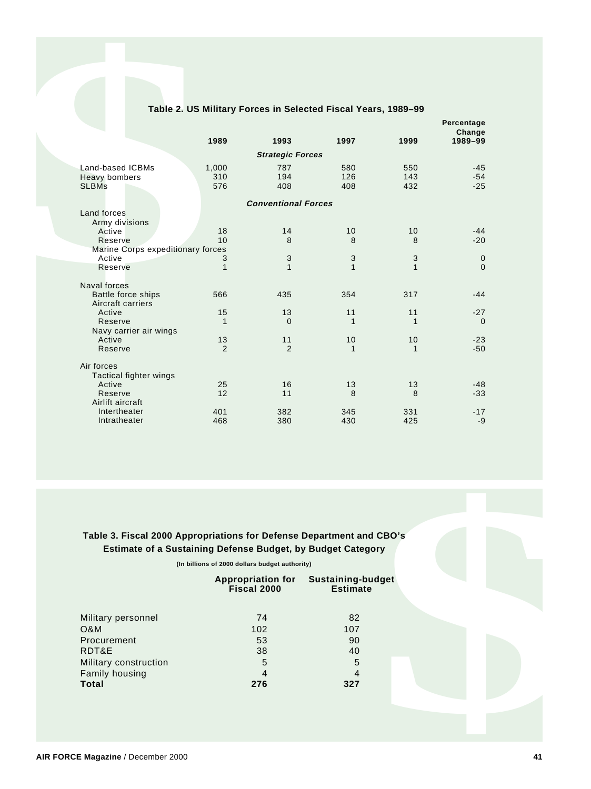| Table 2. US Military Forces in Selected Fiscal Years, 1989-99<br>Percentage<br>Change<br>1989<br>1993<br>1997<br>1999<br>1989-99<br><b>Strategic Forces</b><br>Land-based ICBMs<br>1,000<br>787<br>580<br>550<br>$-45$<br>310<br>194<br>$-54$<br>Heavy bombers<br>126<br>143<br>576<br>408<br><b>SLBMs</b><br>408<br>432<br>$-25$<br><b>Conventional Forces</b><br>Land forces<br>Army divisions<br>Active<br>18<br>14<br>10<br>10<br>$-44$<br>10<br>$-20$<br>Reserve<br>8<br>8<br>8<br>Marine Corps expeditionary forces<br>$\mathbf{3}$<br>3<br>3<br>Active<br>3<br>$\mathbf 0$<br>$\mathbf{1}$<br>$\mathbf{1}$<br>$\mathbf{1}$<br>0<br>Reserve<br>$\mathbf{1}$<br>Naval forces<br>Battle force ships<br>317<br>566<br>435<br>354<br>$-44$<br>Aircraft carriers<br>Active<br>15<br>13<br>11<br>11<br>$-27$<br>Reserve<br>$\mathbf{1}$<br>$\mathbf{1}$<br>$\mathbf 0$<br>$\mathbf{1}$<br>$\mathbf 0$<br>Navy carrier air wings<br>Active<br>13<br>10<br>11<br>10<br>$-23$<br>Reserve<br>2<br>$\overline{2}$<br>$\mathbf{1}$<br>$-50$<br>$\mathbf{1}$<br>Air forces<br>Tactical fighter wings<br>Active<br>25<br>16<br>13<br>13<br>-48<br>12<br>8<br>8<br>$-33$<br>Reserve<br>11<br>Airlift aircraft<br>Intertheater<br>382<br>345<br>401<br>331<br>$-17$<br>468<br>380<br>430<br>425<br>$-9$<br>Intratheater<br>Table 3. Fiscal 2000 Appropriations for Defense Department and CBO's<br>Estimate of a Sustaining Defense Budget, by Budget Category<br>(In billions of 2000 dollars budget authority)<br><b>Appropriation for<br/>Fiscal 2000</b><br>Sustaining-budget<br>Estimate<br>74<br>82<br>Military personnel<br>O&M<br>102<br>107<br>Procurement<br>53<br>90<br>RDT&E<br>38<br>40<br>Military construction<br>5<br>5<br>$\overline{4}$<br>Family housing<br>$\overline{4}$<br><b>Total</b><br>276<br>327 |  |  |  |  |
|-------------------------------------------------------------------------------------------------------------------------------------------------------------------------------------------------------------------------------------------------------------------------------------------------------------------------------------------------------------------------------------------------------------------------------------------------------------------------------------------------------------------------------------------------------------------------------------------------------------------------------------------------------------------------------------------------------------------------------------------------------------------------------------------------------------------------------------------------------------------------------------------------------------------------------------------------------------------------------------------------------------------------------------------------------------------------------------------------------------------------------------------------------------------------------------------------------------------------------------------------------------------------------------------------------------------------------------------------------------------------------------------------------------------------------------------------------------------------------------------------------------------------------------------------------------------------------------------------------------------------------------------------------------------------------------------------------------------------------------------------------------------------------------------------------------------|--|--|--|--|
|                                                                                                                                                                                                                                                                                                                                                                                                                                                                                                                                                                                                                                                                                                                                                                                                                                                                                                                                                                                                                                                                                                                                                                                                                                                                                                                                                                                                                                                                                                                                                                                                                                                                                                                                                                                                                   |  |  |  |  |
|                                                                                                                                                                                                                                                                                                                                                                                                                                                                                                                                                                                                                                                                                                                                                                                                                                                                                                                                                                                                                                                                                                                                                                                                                                                                                                                                                                                                                                                                                                                                                                                                                                                                                                                                                                                                                   |  |  |  |  |
|                                                                                                                                                                                                                                                                                                                                                                                                                                                                                                                                                                                                                                                                                                                                                                                                                                                                                                                                                                                                                                                                                                                                                                                                                                                                                                                                                                                                                                                                                                                                                                                                                                                                                                                                                                                                                   |  |  |  |  |
|                                                                                                                                                                                                                                                                                                                                                                                                                                                                                                                                                                                                                                                                                                                                                                                                                                                                                                                                                                                                                                                                                                                                                                                                                                                                                                                                                                                                                                                                                                                                                                                                                                                                                                                                                                                                                   |  |  |  |  |
|                                                                                                                                                                                                                                                                                                                                                                                                                                                                                                                                                                                                                                                                                                                                                                                                                                                                                                                                                                                                                                                                                                                                                                                                                                                                                                                                                                                                                                                                                                                                                                                                                                                                                                                                                                                                                   |  |  |  |  |
|                                                                                                                                                                                                                                                                                                                                                                                                                                                                                                                                                                                                                                                                                                                                                                                                                                                                                                                                                                                                                                                                                                                                                                                                                                                                                                                                                                                                                                                                                                                                                                                                                                                                                                                                                                                                                   |  |  |  |  |
|                                                                                                                                                                                                                                                                                                                                                                                                                                                                                                                                                                                                                                                                                                                                                                                                                                                                                                                                                                                                                                                                                                                                                                                                                                                                                                                                                                                                                                                                                                                                                                                                                                                                                                                                                                                                                   |  |  |  |  |
|                                                                                                                                                                                                                                                                                                                                                                                                                                                                                                                                                                                                                                                                                                                                                                                                                                                                                                                                                                                                                                                                                                                                                                                                                                                                                                                                                                                                                                                                                                                                                                                                                                                                                                                                                                                                                   |  |  |  |  |
|                                                                                                                                                                                                                                                                                                                                                                                                                                                                                                                                                                                                                                                                                                                                                                                                                                                                                                                                                                                                                                                                                                                                                                                                                                                                                                                                                                                                                                                                                                                                                                                                                                                                                                                                                                                                                   |  |  |  |  |
|                                                                                                                                                                                                                                                                                                                                                                                                                                                                                                                                                                                                                                                                                                                                                                                                                                                                                                                                                                                                                                                                                                                                                                                                                                                                                                                                                                                                                                                                                                                                                                                                                                                                                                                                                                                                                   |  |  |  |  |
|                                                                                                                                                                                                                                                                                                                                                                                                                                                                                                                                                                                                                                                                                                                                                                                                                                                                                                                                                                                                                                                                                                                                                                                                                                                                                                                                                                                                                                                                                                                                                                                                                                                                                                                                                                                                                   |  |  |  |  |
|                                                                                                                                                                                                                                                                                                                                                                                                                                                                                                                                                                                                                                                                                                                                                                                                                                                                                                                                                                                                                                                                                                                                                                                                                                                                                                                                                                                                                                                                                                                                                                                                                                                                                                                                                                                                                   |  |  |  |  |
|                                                                                                                                                                                                                                                                                                                                                                                                                                                                                                                                                                                                                                                                                                                                                                                                                                                                                                                                                                                                                                                                                                                                                                                                                                                                                                                                                                                                                                                                                                                                                                                                                                                                                                                                                                                                                   |  |  |  |  |
|                                                                                                                                                                                                                                                                                                                                                                                                                                                                                                                                                                                                                                                                                                                                                                                                                                                                                                                                                                                                                                                                                                                                                                                                                                                                                                                                                                                                                                                                                                                                                                                                                                                                                                                                                                                                                   |  |  |  |  |
|                                                                                                                                                                                                                                                                                                                                                                                                                                                                                                                                                                                                                                                                                                                                                                                                                                                                                                                                                                                                                                                                                                                                                                                                                                                                                                                                                                                                                                                                                                                                                                                                                                                                                                                                                                                                                   |  |  |  |  |
|                                                                                                                                                                                                                                                                                                                                                                                                                                                                                                                                                                                                                                                                                                                                                                                                                                                                                                                                                                                                                                                                                                                                                                                                                                                                                                                                                                                                                                                                                                                                                                                                                                                                                                                                                                                                                   |  |  |  |  |
|                                                                                                                                                                                                                                                                                                                                                                                                                                                                                                                                                                                                                                                                                                                                                                                                                                                                                                                                                                                                                                                                                                                                                                                                                                                                                                                                                                                                                                                                                                                                                                                                                                                                                                                                                                                                                   |  |  |  |  |
|                                                                                                                                                                                                                                                                                                                                                                                                                                                                                                                                                                                                                                                                                                                                                                                                                                                                                                                                                                                                                                                                                                                                                                                                                                                                                                                                                                                                                                                                                                                                                                                                                                                                                                                                                                                                                   |  |  |  |  |
|                                                                                                                                                                                                                                                                                                                                                                                                                                                                                                                                                                                                                                                                                                                                                                                                                                                                                                                                                                                                                                                                                                                                                                                                                                                                                                                                                                                                                                                                                                                                                                                                                                                                                                                                                                                                                   |  |  |  |  |
|                                                                                                                                                                                                                                                                                                                                                                                                                                                                                                                                                                                                                                                                                                                                                                                                                                                                                                                                                                                                                                                                                                                                                                                                                                                                                                                                                                                                                                                                                                                                                                                                                                                                                                                                                                                                                   |  |  |  |  |
|                                                                                                                                                                                                                                                                                                                                                                                                                                                                                                                                                                                                                                                                                                                                                                                                                                                                                                                                                                                                                                                                                                                                                                                                                                                                                                                                                                                                                                                                                                                                                                                                                                                                                                                                                                                                                   |  |  |  |  |
|                                                                                                                                                                                                                                                                                                                                                                                                                                                                                                                                                                                                                                                                                                                                                                                                                                                                                                                                                                                                                                                                                                                                                                                                                                                                                                                                                                                                                                                                                                                                                                                                                                                                                                                                                                                                                   |  |  |  |  |
|                                                                                                                                                                                                                                                                                                                                                                                                                                                                                                                                                                                                                                                                                                                                                                                                                                                                                                                                                                                                                                                                                                                                                                                                                                                                                                                                                                                                                                                                                                                                                                                                                                                                                                                                                                                                                   |  |  |  |  |
|                                                                                                                                                                                                                                                                                                                                                                                                                                                                                                                                                                                                                                                                                                                                                                                                                                                                                                                                                                                                                                                                                                                                                                                                                                                                                                                                                                                                                                                                                                                                                                                                                                                                                                                                                                                                                   |  |  |  |  |
|                                                                                                                                                                                                                                                                                                                                                                                                                                                                                                                                                                                                                                                                                                                                                                                                                                                                                                                                                                                                                                                                                                                                                                                                                                                                                                                                                                                                                                                                                                                                                                                                                                                                                                                                                                                                                   |  |  |  |  |
|                                                                                                                                                                                                                                                                                                                                                                                                                                                                                                                                                                                                                                                                                                                                                                                                                                                                                                                                                                                                                                                                                                                                                                                                                                                                                                                                                                                                                                                                                                                                                                                                                                                                                                                                                                                                                   |  |  |  |  |
|                                                                                                                                                                                                                                                                                                                                                                                                                                                                                                                                                                                                                                                                                                                                                                                                                                                                                                                                                                                                                                                                                                                                                                                                                                                                                                                                                                                                                                                                                                                                                                                                                                                                                                                                                                                                                   |  |  |  |  |
|                                                                                                                                                                                                                                                                                                                                                                                                                                                                                                                                                                                                                                                                                                                                                                                                                                                                                                                                                                                                                                                                                                                                                                                                                                                                                                                                                                                                                                                                                                                                                                                                                                                                                                                                                                                                                   |  |  |  |  |
|                                                                                                                                                                                                                                                                                                                                                                                                                                                                                                                                                                                                                                                                                                                                                                                                                                                                                                                                                                                                                                                                                                                                                                                                                                                                                                                                                                                                                                                                                                                                                                                                                                                                                                                                                                                                                   |  |  |  |  |
|                                                                                                                                                                                                                                                                                                                                                                                                                                                                                                                                                                                                                                                                                                                                                                                                                                                                                                                                                                                                                                                                                                                                                                                                                                                                                                                                                                                                                                                                                                                                                                                                                                                                                                                                                                                                                   |  |  |  |  |
|                                                                                                                                                                                                                                                                                                                                                                                                                                                                                                                                                                                                                                                                                                                                                                                                                                                                                                                                                                                                                                                                                                                                                                                                                                                                                                                                                                                                                                                                                                                                                                                                                                                                                                                                                                                                                   |  |  |  |  |
|                                                                                                                                                                                                                                                                                                                                                                                                                                                                                                                                                                                                                                                                                                                                                                                                                                                                                                                                                                                                                                                                                                                                                                                                                                                                                                                                                                                                                                                                                                                                                                                                                                                                                                                                                                                                                   |  |  |  |  |
|                                                                                                                                                                                                                                                                                                                                                                                                                                                                                                                                                                                                                                                                                                                                                                                                                                                                                                                                                                                                                                                                                                                                                                                                                                                                                                                                                                                                                                                                                                                                                                                                                                                                                                                                                                                                                   |  |  |  |  |

### **Table 2. US Military Forces in Selected Fiscal Years, 1989–99**

### **Table 3. Fiscal 2000 Appropriations for Defense Department and CBO's Estimate of a Sustaining Defense Budget, by Budget Category**

|                       | <b>Appropriation for</b><br>Fiscal 2000 | <b>Sustaining-budget</b><br><b>Estimate</b> |
|-----------------------|-----------------------------------------|---------------------------------------------|
| Military personnel    | 74                                      | 82                                          |
| <b>O&amp;M</b>        | 102                                     | 107                                         |
| Procurement           | 53                                      | 90                                          |
| RDT&E                 | 38                                      | 40                                          |
| Military construction | 5                                       | 5                                           |
| Family housing        | 4                                       | 4                                           |
| Total                 | 276                                     | 327                                         |
|                       |                                         |                                             |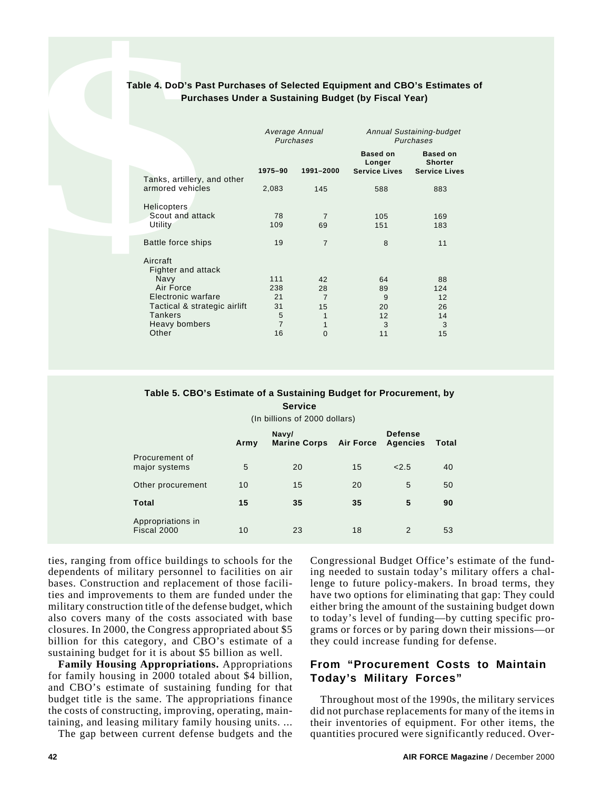### **Table 4. DoD's Past Purchases of Selected Equipment and CBO's Estimates of Purchases Under a Sustaining Budget (by Fiscal Year)**

|  | Table 4. DoD's Past Purchases of Selected Equipment and CBO's Estimates<br>Purchases Under a Sustaining Budget (by Fiscal Year) |                      |                          |                                                   |                                                           |  |
|--|---------------------------------------------------------------------------------------------------------------------------------|----------------------|--------------------------|---------------------------------------------------|-----------------------------------------------------------|--|
|  | Average Annual<br>Purchases                                                                                                     |                      |                          | Annual Sustaining-budget<br>Purchases             |                                                           |  |
|  |                                                                                                                                 | 1975-90              | 1991-2000                | <b>Based on</b><br>Longer<br><b>Service Lives</b> | <b>Based on</b><br><b>Shorter</b><br><b>Service Lives</b> |  |
|  | Tanks, artillery, and other<br>armored vehicles                                                                                 | 2,083                | 145                      | 588                                               | 883                                                       |  |
|  |                                                                                                                                 |                      |                          |                                                   |                                                           |  |
|  | <b>Helicopters</b>                                                                                                              |                      |                          |                                                   |                                                           |  |
|  | Scout and attack<br>Utility                                                                                                     | 78<br>109            | $\overline{7}$<br>69     | 105<br>151                                        | 169<br>183                                                |  |
|  | Battle force ships                                                                                                              | 19                   | $\overline{7}$           | 8                                                 | 11                                                        |  |
|  | Aircraft<br>Fighter and attack                                                                                                  |                      |                          |                                                   |                                                           |  |
|  | Navy                                                                                                                            | 111                  | 42                       | 64                                                | 88                                                        |  |
|  | Air Force                                                                                                                       | 238                  | 28                       | 89                                                | 124                                                       |  |
|  | Electronic warfare<br>Tactical & strategic airlift                                                                              | 21<br>31             | $\overline{7}$<br>15     | 9<br>20                                           | 12<br>26                                                  |  |
|  | <b>Tankers</b>                                                                                                                  | 5                    | $\mathbf{1}$             | 12 <sup>2</sup>                                   | 14                                                        |  |
|  | Heavy bombers<br>Other                                                                                                          | $\overline{7}$<br>16 | $\mathbf{1}$<br>$\Omega$ | 3<br>11                                           | 3<br>15                                                   |  |

## **Table 5. CBO's Estimate of a Sustaining Budget for Procurement, by**

### **Service**

(In billions of 2000 dollars)

|                                  | Army | Navy/<br><b>Marine Corps</b> | <b>Air Force</b> | <b>Defense</b><br>Agencies | Total |
|----------------------------------|------|------------------------------|------------------|----------------------------|-------|
| Procurement of<br>major systems  | 5    | 20                           | 15               | 2.5                        | 40    |
| Other procurement                | 10   | 15                           | 20               | 5                          | 50    |
| Total                            | 15   | 35                           | 35               | 5                          | 90    |
| Appropriations in<br>Fiscal 2000 | 10   | 23                           | 18               | $\mathcal{P}$              | 53    |

ties, ranging from office buildings to schools for the dependents of military personnel to facilities on air bases. Construction and replacement of those facilities and improvements to them are funded under the military construction title of the defense budget, which also covers many of the costs associated with base closures. In 2000, the Congress appropriated about \$5 billion for this category, and CBO's estimate of a sustaining budget for it is about \$5 billion as well.

**Family Housing Appropriations.** Appropriations for family housing in 2000 totaled about \$4 billion, and CBO's estimate of sustaining funding for that budget title is the same. The appropriations finance the costs of constructing, improving, operating, maintaining, and leasing military family housing units. ...

The gap between current defense budgets and the

Congressional Budget Office's estimate of the funding needed to sustain today's military offers a challenge to future policy-makers. In broad terms, they have two options for eliminating that gap: They could either bring the amount of the sustaining budget down to today's level of funding—by cutting specific programs or forces or by paring down their missions—or they could increase funding for defense.

### **From "Procurement Costs to Maintain Today's Military Forces"**

Throughout most of the 1990s, the military services did not purchase replacements for many of the items in their inventories of equipment. For other items, the quantities procured were significantly reduced. Over